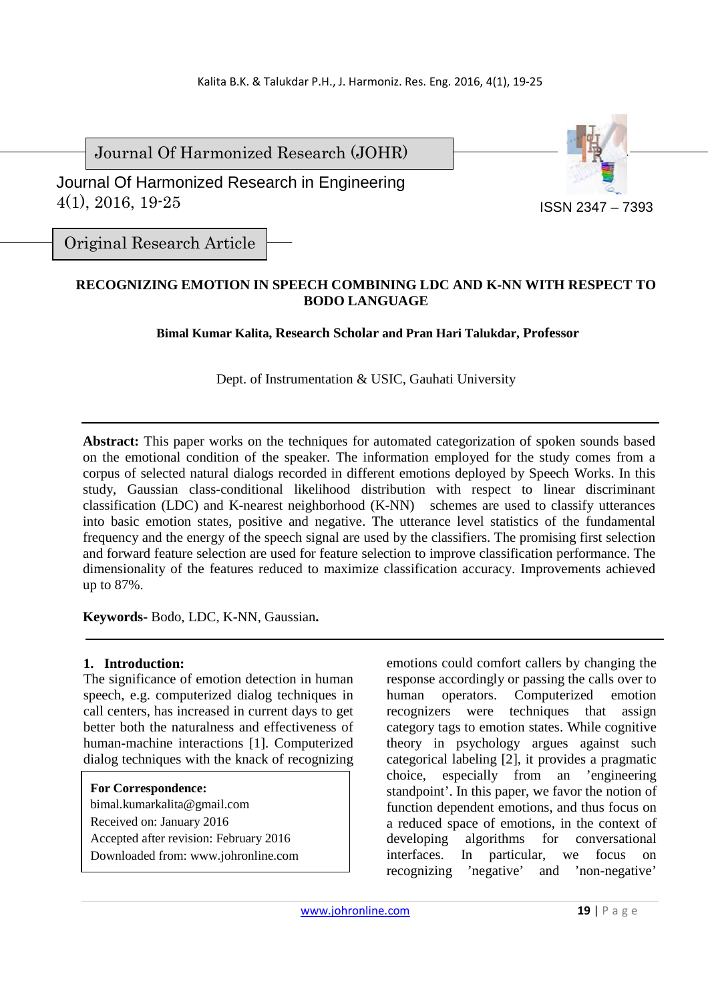Journal Of Harmonized Research (JOHR)

 Journal Of Harmonized Research in Engineering 4(1), 2016, 19-25



Original Research Article

## **RECOGNIZING EMOTION IN SPEECH COMBINING LDC AND K-NN WITH RESPECT TO BODO LANGUAGE**

**Bimal Kumar Kalita, Research Scholar and Pran Hari Talukdar, Professor** 

Dept. of Instrumentation & USIC, Gauhati University

**Abstract:** This paper works on the techniques for automated categorization of spoken sounds based on the emotional condition of the speaker. The information employed for the study comes from a corpus of selected natural dialogs recorded in different emotions deployed by Speech Works. In this study, Gaussian class-conditional likelihood distribution with respect to linear discriminant classification (LDC) and K-nearest neighborhood (K-NN) schemes are used to classify utterances into basic emotion states, positive and negative. The utterance level statistics of the fundamental frequency and the energy of the speech signal are used by the classifiers. The promising first selection and forward feature selection are used for feature selection to improve classification performance. The dimensionality of the features reduced to maximize classification accuracy. Improvements achieved up to 87%.

**Keywords-** Bodo, LDC, K-NN, Gaussian**.** 

### **1. Introduction:**

The significance of emotion detection in human speech, e.g. computerized dialog techniques in call centers, has increased in current days to get better both the naturalness and effectiveness of human-machine interactions [1]. Computerized dialog techniques with the knack of recognizing

### **For Correspondence:**

bimal.kumarkalita@gmail.com Received on: January 2016 Accepted after revision: February 2016 Downloaded from: www.johronline.com emotions could comfort callers by changing the response accordingly or passing the calls over to human operators. Computerized emotion recognizers were techniques that assign category tags to emotion states. While cognitive theory in psychology argues against such categorical labeling [2], it provides a pragmatic choice, especially from an 'engineering standpoint'. In this paper, we favor the notion of function dependent emotions, and thus focus on a reduced space of emotions, in the context of developing algorithms for conversational interfaces. In particular, we focus on recognizing 'negative' and 'non-negative'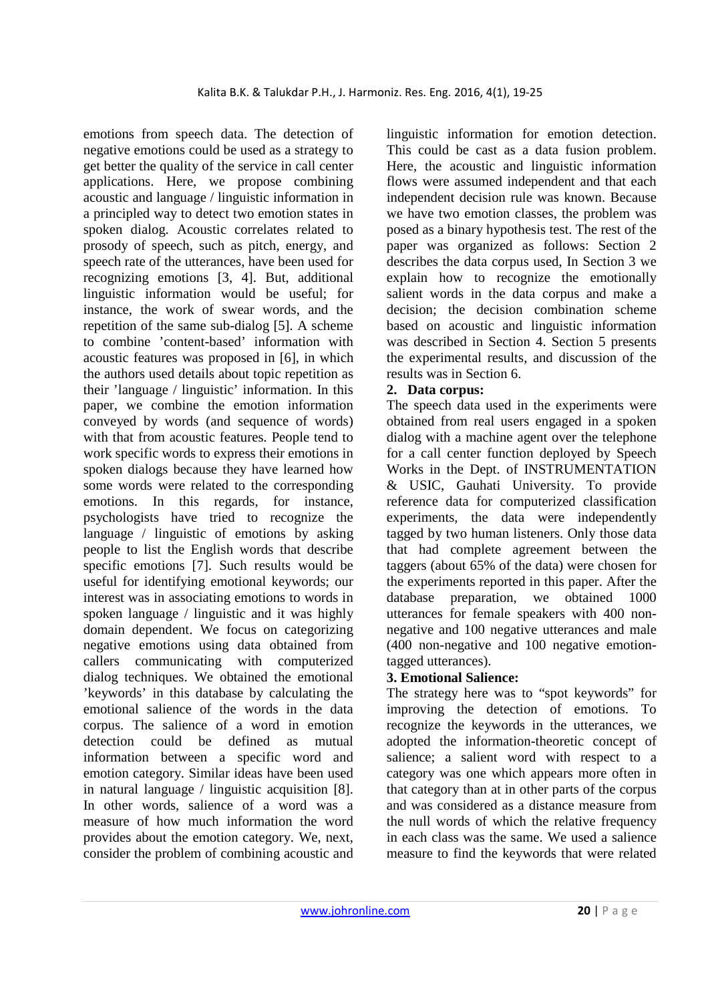emotions from speech data. The detection of negative emotions could be used as a strategy to get better the quality of the service in call center applications. Here, we propose combining acoustic and language / linguistic information in a principled way to detect two emotion states in spoken dialog. Acoustic correlates related to prosody of speech, such as pitch, energy, and speech rate of the utterances, have been used for recognizing emotions [3, 4]. But, additional linguistic information would be useful; for instance, the work of swear words, and the repetition of the same sub-dialog [5]. A scheme to combine 'content-based' information with acoustic features was proposed in [6], in which the authors used details about topic repetition as their 'language / linguistic' information. In this paper, we combine the emotion information conveyed by words (and sequence of words) with that from acoustic features. People tend to work specific words to express their emotions in spoken dialogs because they have learned how some words were related to the corresponding emotions. In this regards, for instance, psychologists have tried to recognize the language / linguistic of emotions by asking people to list the English words that describe specific emotions [7]. Such results would be useful for identifying emotional keywords; our interest was in associating emotions to words in spoken language / linguistic and it was highly domain dependent. We focus on categorizing negative emotions using data obtained from callers communicating with computerized dialog techniques. We obtained the emotional 'keywords' in this database by calculating the emotional salience of the words in the data corpus. The salience of a word in emotion detection could be defined as mutual information between a specific word and emotion category. Similar ideas have been used in natural language / linguistic acquisition [8]. In other words, salience of a word was a measure of how much information the word provides about the emotion category. We, next, consider the problem of combining acoustic and

linguistic information for emotion detection. This could be cast as a data fusion problem. Here, the acoustic and linguistic information flows were assumed independent and that each independent decision rule was known. Because we have two emotion classes, the problem was posed as a binary hypothesis test. The rest of the paper was organized as follows: Section 2 describes the data corpus used, In Section 3 we explain how to recognize the emotionally salient words in the data corpus and make a decision; the decision combination scheme based on acoustic and linguistic information was described in Section 4. Section 5 presents the experimental results, and discussion of the results was in Section 6.

# **2. Data corpus:**

The speech data used in the experiments were obtained from real users engaged in a spoken dialog with a machine agent over the telephone for a call center function deployed by Speech Works in the Dept. of INSTRUMENTATION & USIC, Gauhati University. To provide reference data for computerized classification experiments, the data were independently tagged by two human listeners. Only those data that had complete agreement between the taggers (about 65% of the data) were chosen for the experiments reported in this paper. After the database preparation, we obtained 1000 utterances for female speakers with 400 nonnegative and 100 negative utterances and male (400 non-negative and 100 negative emotiontagged utterances).

## **3. Emotional Salience:**

The strategy here was to "spot keywords" for improving the detection of emotions. To recognize the keywords in the utterances, we adopted the information-theoretic concept of salience; a salient word with respect to a category was one which appears more often in that category than at in other parts of the corpus and was considered as a distance measure from the null words of which the relative frequency in each class was the same. We used a salience measure to find the keywords that were related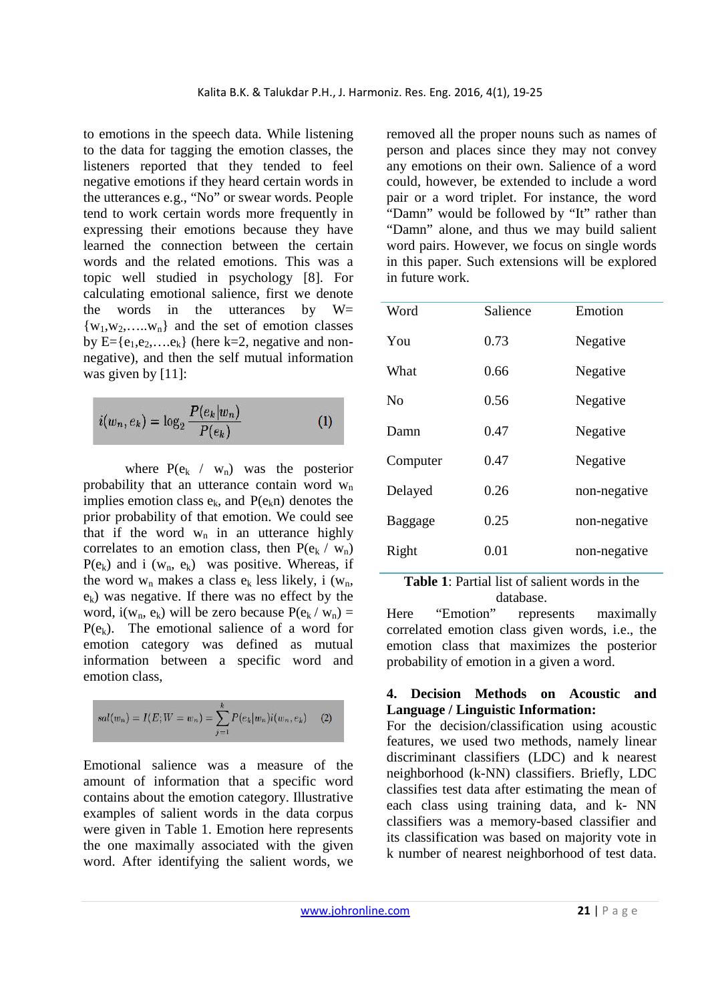to emotions in the speech data. While listening to the data for tagging the emotion classes, the listeners reported that they tended to feel negative emotions if they heard certain words in the utterances e.g., "No" or swear words. People tend to work certain words more frequently in expressing their emotions because they have learned the connection between the certain words and the related emotions. This was a topic well studied in psychology [8]. For calculating emotional salience, first we denote the words in the utterances by  $W=$  $\{w_1, w_2, \ldots, w_n\}$  and the set of emotion classes by  $E = \{e_1, e_2, \ldots, e_k\}$  (here k=2, negative and nonnegative), and then the self mutual information was given by [11]:

$$
i(w_n, e_k) = \log_2 \frac{P(e_k|w_n)}{P(e_k)}
$$
 (1)

where  $P(e_k / w_n)$  was the posterior probability that an utterance contain word  $w_n$ implies emotion class  $e_k$ , and  $P(e_k n)$  denotes the prior probability of that emotion. We could see that if the word  $w_n$  in an utterance highly correlates to an emotion class, then  $P(e_k / w_n)$  $P(e_k)$  and i (w<sub>n</sub>, e<sub>k</sub>) was positive. Whereas, if the word  $w_n$  makes a class  $e_k$  less likely, i  $(w_n,$  $e_k$ ) was negative. If there was no effect by the word,  $i(w_n, e_k)$  will be zero because  $P(e_k / w_n) =$  $P(e_k)$ . The emotional salience of a word for emotion category was defined as mutual information between a specific word and emotion class,

$$
sal(w_n) = I(E;W=w_n) = \sum_{j=1}^{k} P(e_k|w_n)i(w_n,e_k) \quad (2)
$$

Emotional salience was a measure of the amount of information that a specific word contains about the emotion category. Illustrative examples of salient words in the data corpus were given in Table 1. Emotion here represents the one maximally associated with the given word. After identifying the salient words, we removed all the proper nouns such as names of person and places since they may not convey any emotions on their own. Salience of a word could, however, be extended to include a word pair or a word triplet. For instance, the word "Damn" would be followed by "It" rather than "Damn" alone, and thus we may build salient word pairs. However, we focus on single words in this paper. Such extensions will be explored in future work.

| Word           | Salience | Emotion      |
|----------------|----------|--------------|
| You            | 0.73     | Negative     |
| What           | 0.66     | Negative     |
| N <sub>0</sub> | 0.56     | Negative     |
| Damn           | 0.47     | Negative     |
| Computer       | 0.47     | Negative     |
| Delayed        | 0.26     | non-negative |
| Baggage        | 0.25     | non-negative |
| Right          | 0.01     | non-negative |

**Table 1**: Partial list of salient words in the database.

Here "Emotion" represents maximally correlated emotion class given words, i.e., the emotion class that maximizes the posterior probability of emotion in a given a word.

### **4. Decision Methods on Acoustic and Language / Linguistic Information:**

For the decision/classification using acoustic features, we used two methods, namely linear discriminant classifiers (LDC) and k nearest neighborhood (k-NN) classifiers. Briefly, LDC classifies test data after estimating the mean of each class using training data, and k- NN classifiers was a memory-based classifier and its classification was based on majority vote in k number of nearest neighborhood of test data.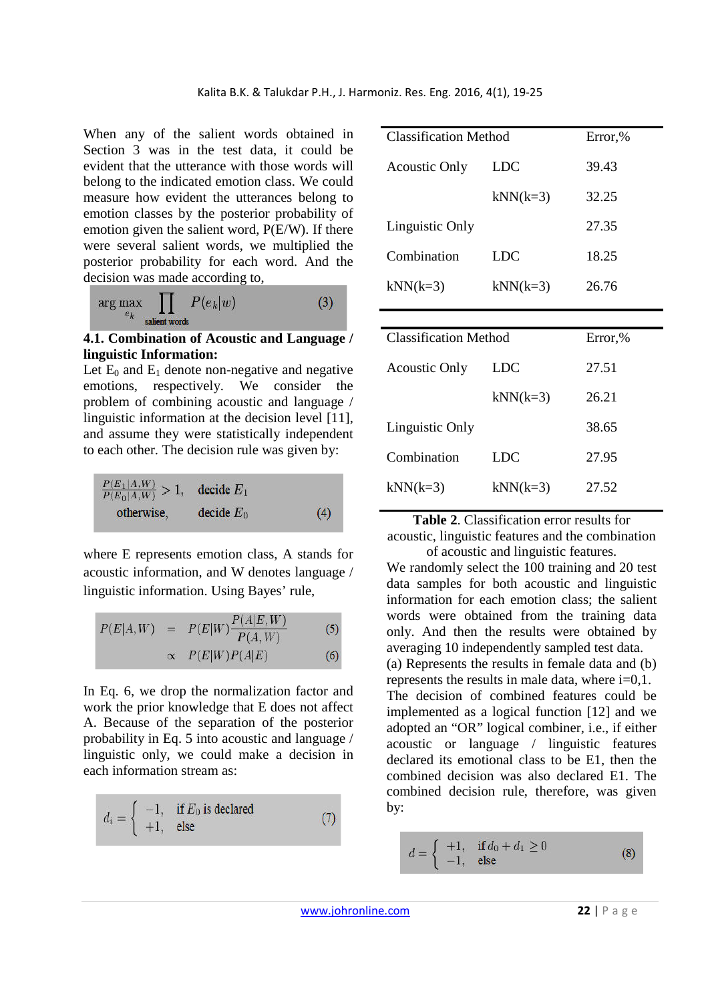When any of the salient words obtained in Section 3 was in the test data, it could be evident that the utterance with those words will belong to the indicated emotion class. We could measure how evident the utterances belong to emotion classes by the posterior probability of emotion given the salient word, P(E/W). If there were several salient words, we multiplied the posterior probability for each word. And the decision was made according to,

$$
\arg\max_{e_k} \prod_{\text{salient words}} P(e_k|w) \tag{3}
$$

#### **4.1. Combination of Acoustic and Language / linguistic Information:**

Let  $E_0$  and  $E_1$  denote non-negative and negative emotions, respectively. We consider the problem of combining acoustic and language / linguistic information at the decision level [11], and assume they were statistically independent to each other. The decision rule was given by:

$$
\frac{P(E_1|A,W)}{P(E_0|A,W)} > 1, \quad \text{decide } E_1
$$
\notherwise, \quad \text{decide } E\_0

\n(4)

where E represents emotion class, A stands for acoustic information, and W denotes language / linguistic information. Using Bayes' rule,

$$
P(E|A, W) = P(E|W) \frac{P(A|E, W)}{P(A, W)}
$$
(5)

$$
\propto P(E|W)P(A|E) \tag{6}
$$

In Eq. 6, we drop the normalization factor and work the prior knowledge that E does not affect A. Because of the separation of the posterior probability in Eq. 5 into acoustic and language / linguistic only, we could make a decision in each information stream as:

$$
d_i = \begin{cases} -1, & \text{if } E_0 \text{ is declared} \\ +1, & \text{else} \end{cases}
$$
 (7)

| <b>Classification Method</b> |            | Error,% |
|------------------------------|------------|---------|
| <b>Acoustic Only</b>         | <b>LDC</b> | 39.43   |
|                              | $kNN(k=3)$ | 32.25   |
| Linguistic Only              |            | 27.35   |
| Combination                  | LDC        | 18.25   |
| $kNN(k=3)$                   | $kNN(k=3)$ | 26.76   |
|                              |            |         |
|                              |            |         |
| <b>Classification Method</b> |            | Error,% |
| <b>Acoustic Only</b>         | <b>LDC</b> | 27.51   |
|                              | $kNN(k=3)$ | 26.21   |
| Linguistic Only              |            | 38.65   |
| Combination                  | LDC        | 27.95   |

**Table 2**. Classification error results for

acoustic, linguistic features and the combination of acoustic and linguistic features.

We randomly select the 100 training and 20 test data samples for both acoustic and linguistic information for each emotion class; the salient words were obtained from the training data only. And then the results were obtained by averaging 10 independently sampled test data. (a) Represents the results in female data and (b) represents the results in male data, where i=0,1. The decision of combined features could be implemented as a logical function [12] and we adopted an "OR" logical combiner, i.e., if either acoustic or language / linguistic features declared its emotional class to be E1, then the combined decision was also declared E1. The combined decision rule, therefore, was given by:

$$
d = \begin{cases} +1, & \text{if } d_0 + d_1 \ge 0 \\ -1, & \text{else} \end{cases} \tag{8}
$$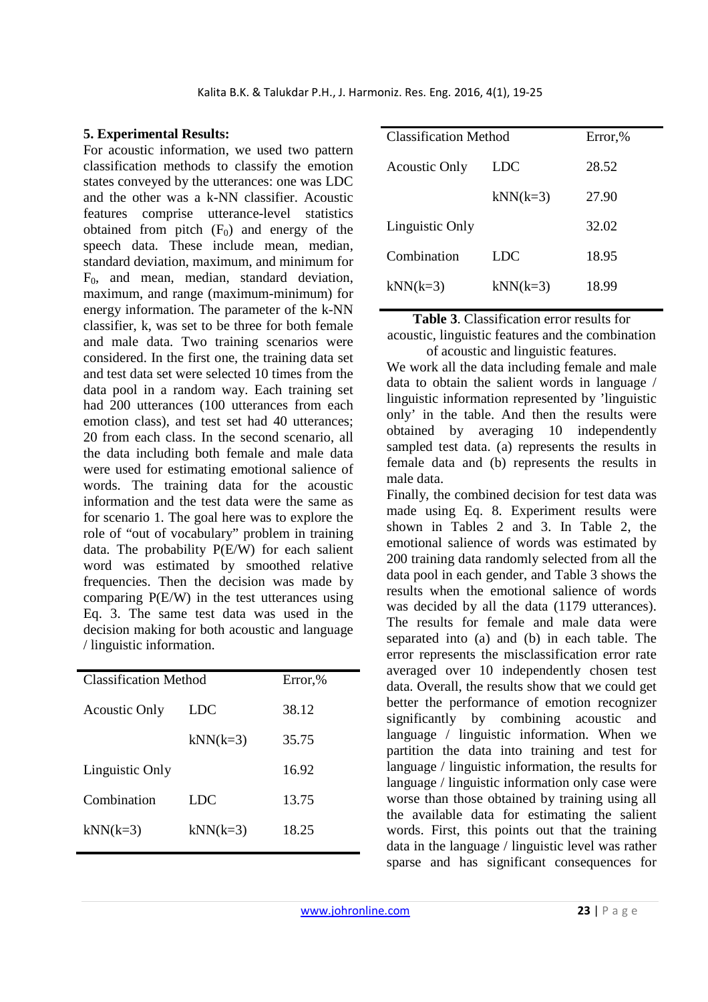## **5. Experimental Results:**

For acoustic information, we used two pattern classification methods to classify the emotion states conveyed by the utterances: one was LDC and the other was a k-NN classifier. Acoustic features comprise utterance-level statistics obtained from pitch  $(F_0)$  and energy of the speech data. These include mean, median, standard deviation, maximum, and minimum for F0, and mean, median, standard deviation, maximum, and range (maximum-minimum) for energy information. The parameter of the k-NN classifier, k, was set to be three for both female and male data. Two training scenarios were considered. In the first one, the training data set and test data set were selected 10 times from the data pool in a random way. Each training set had 200 utterances (100 utterances from each emotion class), and test set had 40 utterances; 20 from each class. In the second scenario, all the data including both female and male data were used for estimating emotional salience of words. The training data for the acoustic information and the test data were the same as for scenario 1. The goal here was to explore the role of "out of vocabulary" problem in training data. The probability P(E/W) for each salient word was estimated by smoothed relative frequencies. Then the decision was made by comparing P(E/W) in the test utterances using Eq. 3. The same test data was used in the decision making for both acoustic and language / linguistic information.

| <b>Classification Method</b> |            | Error,% |
|------------------------------|------------|---------|
| <b>Acoustic Only</b>         | LDC        | 38.12   |
|                              | $kNN(k=3)$ | 35.75   |
| Linguistic Only              |            | 16.92   |
| Combination                  | LDC        | 13.75   |
| $kNN(k=3)$                   | $kNN(k=3)$ | 18.25   |
|                              |            |         |

| <b>Classification Method</b> |            | Error,% |
|------------------------------|------------|---------|
| <b>Acoustic Only</b>         | LDC        | 28.52   |
|                              | $kNN(k=3)$ | 27.90   |
| Linguistic Only              |            | 32.02   |
| Combination                  | LDC        | 18.95   |
| $kNN(k=3)$                   | $kNN(k=3)$ | 18.99   |

**Table 3**. Classification error results for

acoustic, linguistic features and the combination of acoustic and linguistic features.

We work all the data including female and male data to obtain the salient words in language / linguistic information represented by 'linguistic only' in the table. And then the results were obtained by averaging 10 independently sampled test data. (a) represents the results in female data and (b) represents the results in male data.

Finally, the combined decision for test data was made using Eq. 8. Experiment results were shown in Tables 2 and 3. In Table 2, the emotional salience of words was estimated by 200 training data randomly selected from all the data pool in each gender, and Table 3 shows the results when the emotional salience of words was decided by all the data (1179 utterances). The results for female and male data were separated into (a) and (b) in each table. The error represents the misclassification error rate averaged over 10 independently chosen test data. Overall, the results show that we could get better the performance of emotion recognizer significantly by combining acoustic and language / linguistic information. When we partition the data into training and test for language / linguistic information, the results for language / linguistic information only case were worse than those obtained by training using all the available data for estimating the salient words. First, this points out that the training data in the language / linguistic level was rather sparse and has significant consequences for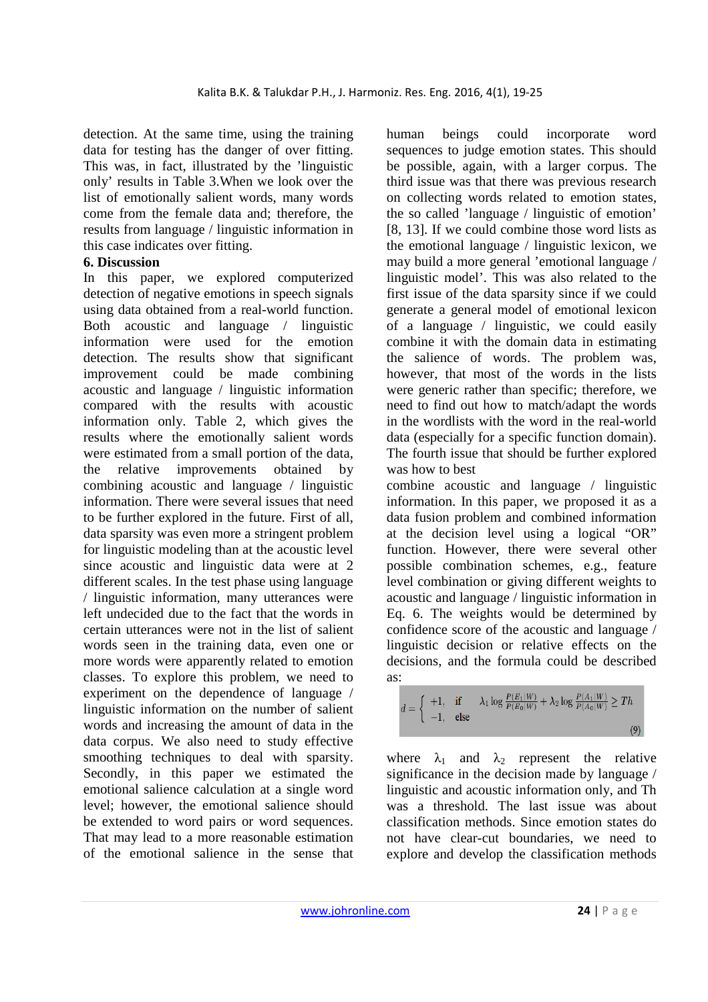detection. At the same time, using the training data for testing has the danger of over fitting. This was, in fact, illustrated by the 'linguistic only' results in Table 3.When we look over the list of emotionally salient words, many words come from the female data and; therefore, the results from language / linguistic information in this case indicates over fitting.

### **6. Discussion**

In this paper, we explored computerized detection of negative emotions in speech signals using data obtained from a real-world function. Both acoustic and language / linguistic information were used for the emotion detection. The results show that significant improvement could be made combining acoustic and language / linguistic information compared with the results with acoustic information only. Table 2, which gives the results where the emotionally salient words were estimated from a small portion of the data, the relative improvements obtained by combining acoustic and language / linguistic information. There were several issues that need to be further explored in the future. First of all, data sparsity was even more a stringent problem for linguistic modeling than at the acoustic level since acoustic and linguistic data were at 2 different scales. In the test phase using language / linguistic information, many utterances were left undecided due to the fact that the words in certain utterances were not in the list of salient words seen in the training data, even one or more words were apparently related to emotion classes. To explore this problem, we need to experiment on the dependence of language / linguistic information on the number of salient words and increasing the amount of data in the data corpus. We also need to study effective smoothing techniques to deal with sparsity. Secondly, in this paper we estimated the emotional salience calculation at a single word level; however, the emotional salience should be extended to word pairs or word sequences. That may lead to a more reasonable estimation of the emotional salience in the sense that

human beings could incorporate word sequences to judge emotion states. This should be possible, again, with a larger corpus. The third issue was that there was previous research on collecting words related to emotion states, the so called 'language / linguistic of emotion' [8, 13]. If we could combine those word lists as the emotional language / linguistic lexicon, we may build a more general 'emotional language / linguistic model'. This was also related to the first issue of the data sparsity since if we could generate a general model of emotional lexicon of a language / linguistic, we could easily combine it with the domain data in estimating the salience of words. The problem was, however, that most of the words in the lists were generic rather than specific; therefore, we need to find out how to match/adapt the words in the wordlists with the word in the real-world data (especially for a specific function domain). The fourth issue that should be further explored was how to best

combine acoustic and language / linguistic information. In this paper, we proposed it as a data fusion problem and combined information at the decision level using a logical "OR" function. However, there were several other possible combination schemes, e.g., feature level combination or giving different weights to acoustic and language / linguistic information in Eq. 6. The weights would be determined by confidence score of the acoustic and language / linguistic decision or relative effects on the decisions, and the formula could be described as:

$$
d = \begin{cases} +1, & \text{if } \lambda_1 \log \frac{P(E_1|W)}{P(E_0|W)} + \lambda_2 \log \frac{P(A_1|W)}{P(A_0|W)} \ge Th \\ -1, & \text{else} \end{cases}
$$
(9)

where  $\lambda_1$  and  $\lambda_2$  represent the relative significance in the decision made by language / linguistic and acoustic information only, and Th was a threshold. The last issue was about classification methods. Since emotion states do not have clear-cut boundaries, we need to explore and develop the classification methods